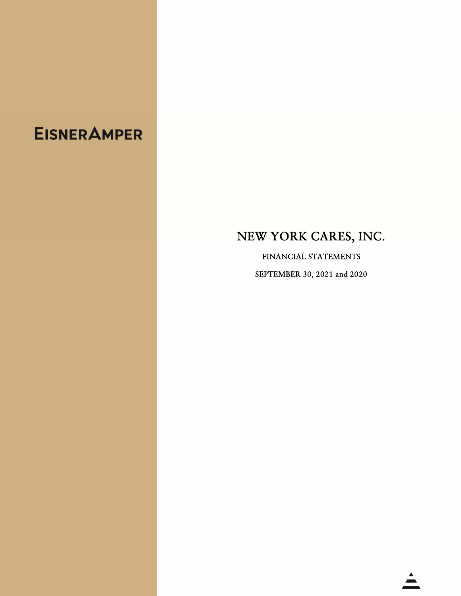# **EISNER AMPER**

# NEW YORK CARES, INC.

FINANCIAL STATEMENTS

SEPTEMBER 30, 2021 and 2020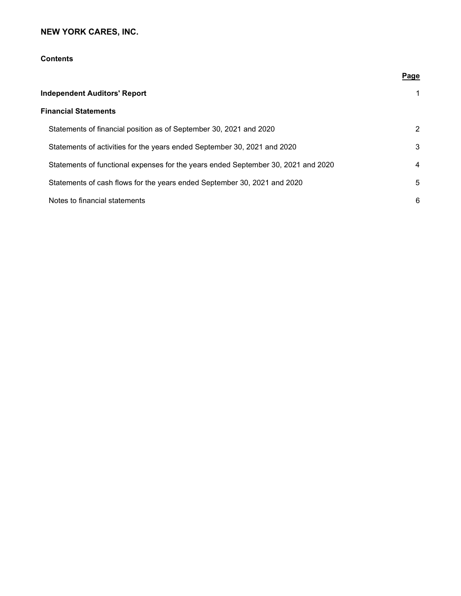## **Contents**

|                                                                                   | Page |
|-----------------------------------------------------------------------------------|------|
| <b>Independent Auditors' Report</b>                                               |      |
| <b>Financial Statements</b>                                                       |      |
| Statements of financial position as of September 30, 2021 and 2020                | 2    |
| Statements of activities for the years ended September 30, 2021 and 2020          | 3    |
| Statements of functional expenses for the years ended September 30, 2021 and 2020 | 4    |
| Statements of cash flows for the years ended September 30, 2021 and 2020          | 5    |
| Notes to financial statements                                                     | 6    |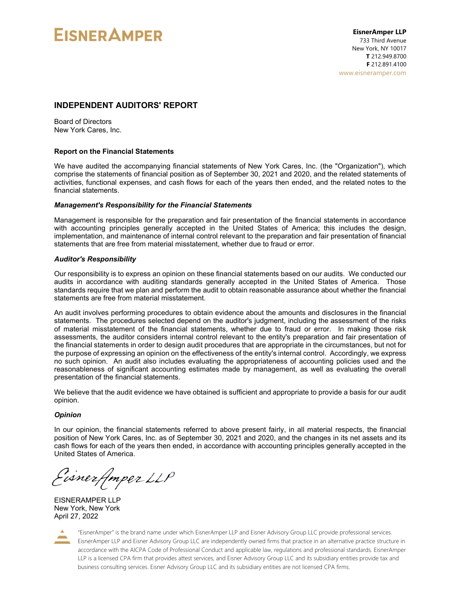# **EISNER AMPER**

## INDEPENDENT AUDITORS' REPORT

Board of Directors New York Cares, Inc.

## Report on the Financial Statements

We have audited the accompanying financial statements of New York Cares, Inc. (the "Organization"), which comprise the statements of financial position as of September 30, 2021 and 2020, and the related statements of activities, functional expenses, and cash flows for each of the years then ended, and the related notes to the financial statements.

## Management's Responsibility for the Financial Statements

Management is responsible for the preparation and fair presentation of the financial statements in accordance with accounting principles generally accepted in the United States of America; this includes the design, implementation, and maintenance of internal control relevant to the preparation and fair presentation of financial statements that are free from material misstatement, whether due to fraud or error.

## Auditor's Responsibility

Our responsibility is to express an opinion on these financial statements based on our audits. We conducted our audits in accordance with auditing standards generally accepted in the United States of America. Those standards require that we plan and perform the audit to obtain reasonable assurance about whether the financial statements are free from material misstatement.

An audit involves performing procedures to obtain evidence about the amounts and disclosures in the financial statements. The procedures selected depend on the auditor's judgment, including the assessment of the risks of material misstatement of the financial statements, whether due to fraud or error. In making those risk assessments, the auditor considers internal control relevant to the entity's preparation and fair presentation of the financial statements in order to design audit procedures that are appropriate in the circumstances, but not for the purpose of expressing an opinion on the effectiveness of the entity's internal control. Accordingly, we express no such opinion. An audit also includes evaluating the appropriateness of accounting policies used and the reasonableness of significant accounting estimates made by management, as well as evaluating the overall presentation of the financial statements.

We believe that the audit evidence we have obtained is sufficient and appropriate to provide a basis for our audit opinion.

## **Opinion**

In our opinion, the financial statements referred to above present fairly, in all material respects, the financial position of New York Cares, Inc. as of September 30, 2021 and 2020, and the changes in its net assets and its cash flows for each of the years then ended, in accordance with accounting principles generally accepted in the United States of America.

Eisnerfmper LLP

EISNERAMPER LLP New York, New York April 27, 2022



"EisnerAmper" is the brand name under which EisnerAmper LLP and Eisner Advisory Group LLC provide professional services. EisnerAmper LLP and Eisner Advisory Group LLC are independently owned firms that practice in an alternative practice structure in accordance with the AICPA Code of Professional Conduct and applicable law, regulations and professional standards. EisnerAmper LLP is a licensed CPA firm that provides attest services, and Eisner Advisory Group LLC and its subsidiary entities provide tax and business consulting services. Eisner Advisory Group LLC and its subsidiary entities are not licensed CPA firms.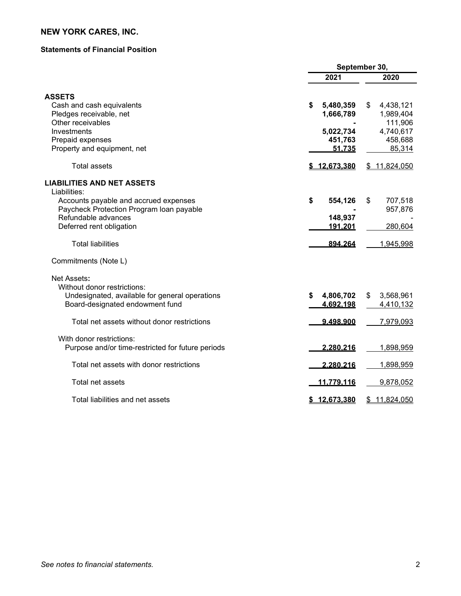## Statements of Financial Position

|                                                   | September 30,   |                 |  |  |
|---------------------------------------------------|-----------------|-----------------|--|--|
|                                                   | 2021            | 2020            |  |  |
| <b>ASSETS</b>                                     |                 |                 |  |  |
| Cash and cash equivalents                         | \$<br>5,480,359 | \$<br>4,438,121 |  |  |
| Pledges receivable, net                           | 1,666,789       | 1,989,404       |  |  |
| Other receivables                                 |                 | 111,906         |  |  |
| Investments                                       | 5,022,734       | 4,740,617       |  |  |
| Prepaid expenses                                  | 451,763         | 458,688         |  |  |
| Property and equipment, net                       | 51.735          | 85,314          |  |  |
| Total assets                                      | \$12,673,380    | \$11,824,050    |  |  |
| <b>LIABILITIES AND NET ASSETS</b>                 |                 |                 |  |  |
| Liabilities:                                      |                 |                 |  |  |
| Accounts payable and accrued expenses             | \$<br>554,126   | 707,518<br>\$   |  |  |
| Paycheck Protection Program Ioan payable          |                 | 957,876         |  |  |
| Refundable advances                               | 148,937         |                 |  |  |
| Deferred rent obligation                          | 191.201         | 280,604         |  |  |
| <b>Total liabilities</b>                          | 894.264         | 1,945,998       |  |  |
| Commitments (Note L)                              |                 |                 |  |  |
| Net Assets:                                       |                 |                 |  |  |
| Without donor restrictions:                       |                 |                 |  |  |
| Undesignated, available for general operations    | 4,806,702<br>\$ | \$<br>3,568,961 |  |  |
| Board-designated endowment fund                   | 4.692.198       | 4,410,132       |  |  |
|                                                   |                 |                 |  |  |
| Total net assets without donor restrictions       | 9.498.900       | 7,979,093       |  |  |
| With donor restrictions:                          |                 |                 |  |  |
| Purpose and/or time-restricted for future periods | 2.280.216       | 1,898,959       |  |  |
|                                                   |                 |                 |  |  |
| Total net assets with donor restrictions          | 2.280.216       | 1,898,959       |  |  |
| Total net assets                                  |                 |                 |  |  |
|                                                   | 11.779.116      | 9,878,052       |  |  |
| Total liabilities and net assets                  | \$12,673,380    | \$11,824,050    |  |  |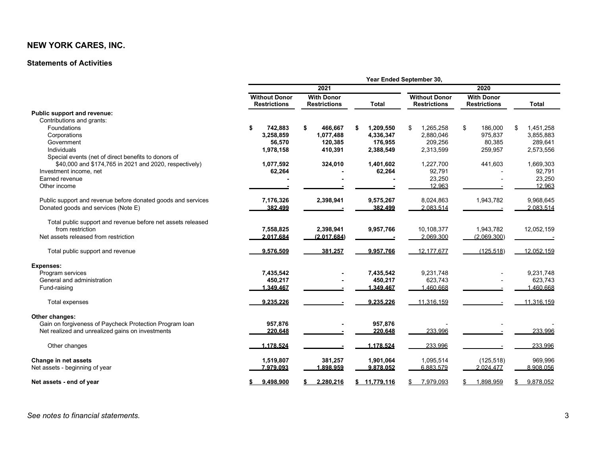## Statements of Activities

|                                                              | Year Ended September 30,                    |                                   |                 |                                             |                                          |                 |  |
|--------------------------------------------------------------|---------------------------------------------|-----------------------------------|-----------------|---------------------------------------------|------------------------------------------|-----------------|--|
|                                                              |                                             | 2021                              |                 | 2020                                        |                                          |                 |  |
|                                                              | <b>Without Donor</b><br><b>Restrictions</b> | <b>With Donor</b><br>Restrictions | <b>Total</b>    | <b>Without Donor</b><br><b>Restrictions</b> | <b>With Donor</b><br><b>Restrictions</b> | <b>Total</b>    |  |
| Public support and revenue:                                  |                                             |                                   |                 |                                             |                                          |                 |  |
| Contributions and grants:                                    |                                             |                                   |                 |                                             |                                          |                 |  |
| Foundations                                                  | 742,883<br>\$                               | 466,667<br>S                      | 1,209,550<br>\$ | \$<br>1,265,258                             | \$<br>186,000                            | \$<br>1,451,258 |  |
| Corporations                                                 | 3,258,859                                   | 1,077,488                         | 4,336,347       | 2,880,046                                   | 975,837                                  | 3,855,883       |  |
| Government                                                   | 56,570                                      | 120,385                           | 176,955         | 209,256                                     | 80,385                                   | 289,641         |  |
| Individuals                                                  | 1,978,158                                   | 410,391                           | 2,388,549       | 2,313,599                                   | 259,957                                  | 2,573,556       |  |
| Special events (net of direct benefits to donors of          |                                             |                                   |                 |                                             |                                          |                 |  |
| \$40,000 and \$174,765 in 2021 and 2020, respectively)       | 1,077,592                                   | 324,010                           | 1,401,602       | 1,227,700                                   | 441,603                                  | 1,669,303       |  |
| Investment income, net                                       | 62,264                                      |                                   | 62,264          | 92,791                                      |                                          | 92,791          |  |
| Earned revenue                                               |                                             |                                   |                 | 23,250                                      |                                          | 23,250          |  |
| Other income                                                 |                                             |                                   |                 | 12.963                                      |                                          | 12.963          |  |
| Public support and revenue before donated goods and services | 7,176,326                                   | 2,398,941                         | 9,575,267       | 8,024,863                                   | 1,943,782                                | 9,968,645       |  |
| Donated goods and services (Note E)                          | 382.499                                     |                                   | 382.499         | 2.083.514                                   |                                          | 2.083.514       |  |
| Total public support and revenue before net assets released  |                                             |                                   |                 |                                             |                                          |                 |  |
| from restriction                                             | 7,558,825                                   | 2,398,941                         | 9,957,766       | 10,108,377                                  | 1,943,782                                | 12,052,159      |  |
| Net assets released from restriction                         | 2.017.684                                   | (2.017.684)                       |                 | 2.069.300                                   | (2.069.300)                              |                 |  |
| Total public support and revenue                             | 9.576.509                                   | 381.257                           | 9.957.766       | 12.177.677                                  | (125.518)                                | 12.052.159      |  |
| <b>Expenses:</b>                                             |                                             |                                   |                 |                                             |                                          |                 |  |
| Program services                                             | 7,435,542                                   |                                   | 7,435,542       | 9,231,748                                   |                                          | 9.231.748       |  |
| General and administration                                   | 450,217                                     |                                   | 450,217         | 623,743                                     |                                          | 623,743         |  |
| Fund-raising                                                 | 1.349.467                                   |                                   | 1.349.467       | 1.460.668                                   |                                          | 1.460.668       |  |
| Total expenses                                               | 9.235.226                                   |                                   | 9.235.226       | 11.316.159                                  |                                          | 11.316.159      |  |
| Other changes:                                               |                                             |                                   |                 |                                             |                                          |                 |  |
| Gain on forgiveness of Paycheck Protection Program Ioan      | 957,876                                     |                                   | 957,876         |                                             |                                          |                 |  |
| Net realized and unrealized gains on investments             | 220.648                                     |                                   | 220.648         | 233.996                                     |                                          | 233.996         |  |
| Other changes                                                | 1.178.524                                   |                                   | 1.178.524       | 233.996                                     |                                          | 233.996         |  |
| Change in net assets                                         | 1,519,807                                   | 381,257                           | 1,901,064       | 1,095,514                                   | (125, 518)                               | 969,996         |  |
| Net assets - beginning of year                               | 7.979.093                                   | 1.898.959                         | 9.878.052       | 6.883.579                                   | 2.024.477                                | 8.908.056       |  |
| Net assets - end of year                                     | 9,498,900<br>S.                             | 2,280,216<br>s.                   | \$11,779,116    | 7,979,093<br>\$                             | 1,898,959<br>\$.                         | 9,878,052<br>S  |  |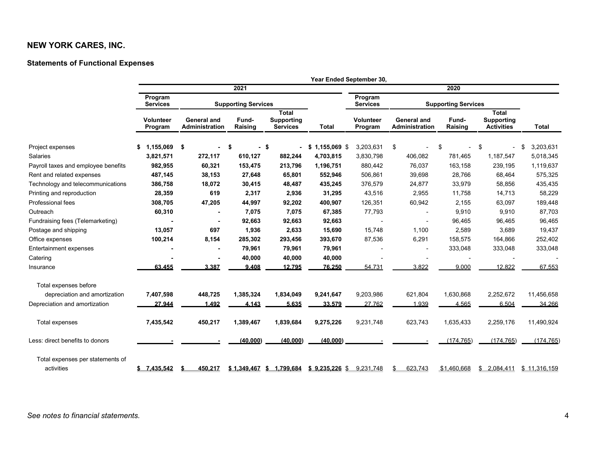## Statements of Functional Expenses

|                                                |                            |                               |                  |                                                      | Year Ended September 30, |                             |                               |                  |                                                        |                  |
|------------------------------------------------|----------------------------|-------------------------------|------------------|------------------------------------------------------|--------------------------|-----------------------------|-------------------------------|------------------|--------------------------------------------------------|------------------|
|                                                | 2021                       |                               |                  |                                                      |                          |                             |                               | 2020             |                                                        |                  |
|                                                | Program<br><b>Services</b> | <b>Supporting Services</b>    |                  | Program<br><b>Services</b>                           |                          | <b>Supporting Services</b>  |                               |                  |                                                        |                  |
|                                                | Volunteer<br>Program       | General and<br>Administration | Fund-<br>Raising | <b>Total</b><br><b>Supporting</b><br><b>Services</b> | <b>Total</b>             | <b>Volunteer</b><br>Program | General and<br>Administration | Fund-<br>Raising | <b>Total</b><br><b>Supporting</b><br><b>Activities</b> | <b>Total</b>     |
| Project expenses                               | 1,155,069 \$<br>S          |                               | \$               | - \$<br>$\sim$                                       | $$1,155,069$ \$          | 3,203,631                   | \$                            | \$               | \$                                                     | 3,203,631<br>-\$ |
| Salaries                                       | 3,821,571                  | 272,117                       | 610,127          | 882,244                                              | 4,703,815                | 3,830,798                   | 406,082                       | 781,465          | 1,187,547                                              | 5,018,345        |
| Payroll taxes and employee benefits            | 982,955                    | 60,321                        | 153,475          | 213,796                                              | 1,196,751                | 880,442                     | 76,037                        | 163,158          | 239,195                                                | 1,119,637        |
| Rent and related expenses                      | 487,145                    | 38,153                        | 27,648           | 65,801                                               | 552,946                  | 506,861                     | 39,698                        | 28,766           | 68,464                                                 | 575,325          |
| Technology and telecommunications              | 386,758                    | 18,072                        | 30,415           | 48,487                                               | 435,245                  | 376,579                     | 24,877                        | 33,979           | 58,856                                                 | 435,435          |
| Printing and reproduction                      | 28,359                     | 619                           | 2,317            | 2,936                                                | 31,295                   | 43,516                      | 2,955                         | 11,758           | 14,713                                                 | 58,229           |
| Professional fees                              | 308,705                    | 47,205                        | 44,997           | 92,202                                               | 400,907                  | 126,351                     | 60,942                        | 2,155            | 63,097                                                 | 189,448          |
| Outreach                                       | 60,310                     |                               | 7,075            | 7,075                                                | 67,385                   | 77,793                      |                               | 9,910            | 9,910                                                  | 87,703           |
| Fundraising fees (Telemarketing)               |                            |                               | 92,663           | 92,663                                               | 92,663                   |                             |                               | 96,465           | 96,465                                                 | 96,465           |
| Postage and shipping                           | 13,057                     | 697                           | 1,936            | 2,633                                                | 15,690                   | 15,748                      | 1,100                         | 2,589            | 3,689                                                  | 19,437           |
| Office expenses                                | 100,214                    | 8,154                         | 285,302          | 293,456                                              | 393,670                  | 87,536                      | 6,291                         | 158,575          | 164,866                                                | 252,402          |
| <b>Entertainment expenses</b>                  |                            |                               | 79,961           | 79,961                                               | 79,961                   |                             |                               | 333,048          | 333,048                                                | 333,048          |
| Catering                                       |                            |                               | 40,000           | 40,000                                               | 40,000                   |                             |                               |                  |                                                        |                  |
| Insurance                                      | 63.455                     | 3.387                         | 9.408            | 12.795                                               | 76.250                   | 54.731                      | 3.822                         | 9.000            | 12.822                                                 | 67.553           |
| Total expenses before                          |                            |                               |                  |                                                      |                          |                             |                               |                  |                                                        |                  |
| depreciation and amortization                  | 7,407,598                  | 448,725                       | 1,385,324        | 1,834,049                                            | 9,241,647                | 9,203,986                   | 621,804                       | 1,630,868        | 2,252,672                                              | 11,456,658       |
| Depreciation and amortization                  | 27.944                     | 1.492                         | 4.143            | 5.635                                                | 33.579                   | 27.762                      | 1.939                         | 4.565            | 6.504                                                  | 34.266           |
| Total expenses                                 | 7,435,542                  | 450,217                       | 1,389,467        | 1,839,684                                            | 9,275,226                | 9,231,748                   | 623,743                       | 1,635,433        | 2,259,176                                              | 11,490,924       |
| Less: direct benefits to donors                |                            |                               | (40.000)         | (40.000)                                             | (40.000)                 |                             |                               | (174.765)        | (174.765)                                              | (174.765)        |
| Total expenses per statements of<br>activities | \$7,435,542                | 450,217                       |                  | $$1,349,467$ $$1,799,684$                            | \$9,235,226<br>\$        | 9,231,748                   | 623.743<br>\$                 | \$1,460,668      | \$2,084,411                                            | \$11,316,159     |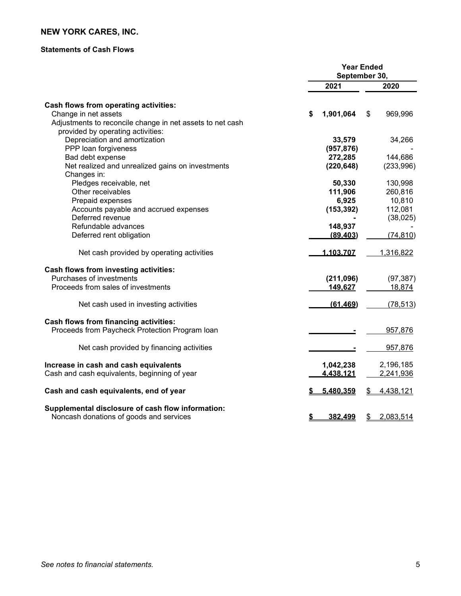## Statements of Cash Flows

|                                                                                                | <b>Year Ended</b><br>September 30, |                     |  |  |
|------------------------------------------------------------------------------------------------|------------------------------------|---------------------|--|--|
|                                                                                                | 2021                               | 2020                |  |  |
| <b>Cash flows from operating activities:</b><br>Change in net assets                           | 1,901,064<br>\$                    | \$<br>969,996       |  |  |
| Adjustments to reconcile change in net assets to net cash<br>provided by operating activities: |                                    |                     |  |  |
| Depreciation and amortization<br>PPP loan forgiveness                                          | 33,579<br>(957, 876)               | 34,266              |  |  |
| Bad debt expense                                                                               | 272,285                            | 144,686             |  |  |
| Net realized and unrealized gains on investments<br>Changes in:                                | (220, 648)                         | (233,996)           |  |  |
| Pledges receivable, net<br>Other receivables                                                   | 50,330<br>111,906                  | 130,998<br>260,816  |  |  |
| Prepaid expenses                                                                               | 6,925                              | 10,810              |  |  |
| Accounts payable and accrued expenses<br>Deferred revenue                                      | (153, 392)                         | 112,081<br>(38,025) |  |  |
| Refundable advances                                                                            | 148,937                            |                     |  |  |
| Deferred rent obligation                                                                       | (89.403)                           | (74, 810)           |  |  |
| Net cash provided by operating activities                                                      | 1.103.707                          | 1,316,822           |  |  |
| Cash flows from investing activities:                                                          |                                    |                     |  |  |
| Purchases of investments                                                                       | (211, 096)                         | (97, 387)           |  |  |
| Proceeds from sales of investments                                                             | 149,627                            | 18,874              |  |  |
| Net cash used in investing activities                                                          | (61.469)                           | (78, 513)           |  |  |
| Cash flows from financing activities:                                                          |                                    |                     |  |  |
| Proceeds from Paycheck Protection Program Ioan                                                 |                                    | 957,876             |  |  |
| Net cash provided by financing activities                                                      |                                    | 957,876             |  |  |
| Increase in cash and cash equivalents                                                          | 1,042,238                          | 2,196,185           |  |  |
| Cash and cash equivalents, beginning of year                                                   | 4.438.121                          | 2,241,936           |  |  |
| Cash and cash equivalents, end of year                                                         | 5,480,359                          | 4,438,121<br>S      |  |  |
| Supplemental disclosure of cash flow information:<br>Noncash donations of goods and services   | \$<br>382,499                      | 2,083,514<br>\$     |  |  |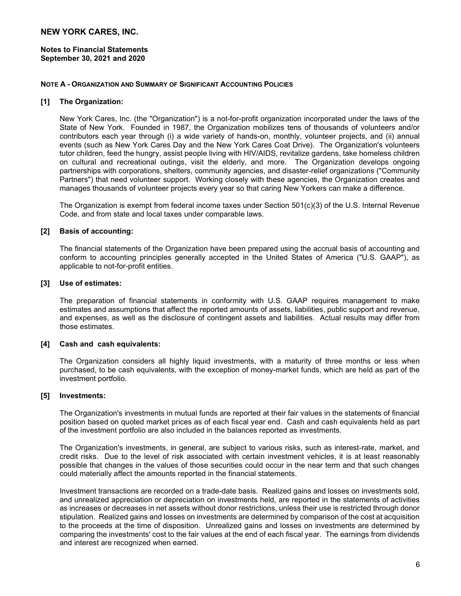Notes to Financial Statements September 30, 2021 and 2020

## NOTE A - ORGANIZATION AND SUMMARY OF SIGNIFICANT ACCOUNTING POLICIES

## [1] The Organization:

New York Cares, Inc. (the "Organization") is a not-for-profit organization incorporated under the laws of the State of New York. Founded in 1987, the Organization mobilizes tens of thousands of volunteers and/or contributors each year through (i) a wide variety of hands-on, monthly, volunteer projects, and (ii) annual events (such as New York Cares Day and the New York Cares Coat Drive). The Organization's volunteers tutor children, feed the hungry, assist people living with HIV/AIDS, revitalize gardens, take homeless children on cultural and recreational outings, visit the elderly, and more. The Organization develops ongoing partnerships with corporations, shelters, community agencies, and disaster-relief organizations ("Community Partners") that need volunteer support. Working closely with these agencies, the Organization creates and manages thousands of volunteer projects every year so that caring New Yorkers can make a difference.

The Organization is exempt from federal income taxes under Section 501(c)(3) of the U.S. Internal Revenue Code, and from state and local taxes under comparable laws.

## [2] Basis of accounting:

The financial statements of the Organization have been prepared using the accrual basis of accounting and conform to accounting principles generally accepted in the United States of America ("U.S. GAAP"), as applicable to not-for-profit entities.

## [3] Use of estimates:

The preparation of financial statements in conformity with U.S. GAAP requires management to make estimates and assumptions that affect the reported amounts of assets, liabilities, public support and revenue, and expenses, as well as the disclosure of contingent assets and liabilities. Actual results may differ from those estimates.

## [4] Cash and cash equivalents:

The Organization considers all highly liquid investments, with a maturity of three months or less when purchased, to be cash equivalents, with the exception of money-market funds, which are held as part of the investment portfolio.

#### [5] Investments:

The Organization's investments in mutual funds are reported at their fair values in the statements of financial position based on quoted market prices as of each fiscal year end. Cash and cash equivalents held as part of the investment portfolio are also included in the balances reported as investments.

The Organization's investments, in general, are subject to various risks, such as interest-rate, market, and credit risks. Due to the level of risk associated with certain investment vehicles, it is at least reasonably possible that changes in the values of those securities could occur in the near term and that such changes could materially affect the amounts reported in the financial statements.

Investment transactions are recorded on a trade-date basis. Realized gains and losses on investments sold, and unrealized appreciation or depreciation on investments held, are reported in the statements of activities as increases or decreases in net assets without donor restrictions, unless their use is restricted through donor stipulation. Realized gains and losses on investments are determined by comparison of the cost at acquisition to the proceeds at the time of disposition. Unrealized gains and losses on investments are determined by comparing the investments' cost to the fair values at the end of each fiscal year. The earnings from dividends and interest are recognized when earned.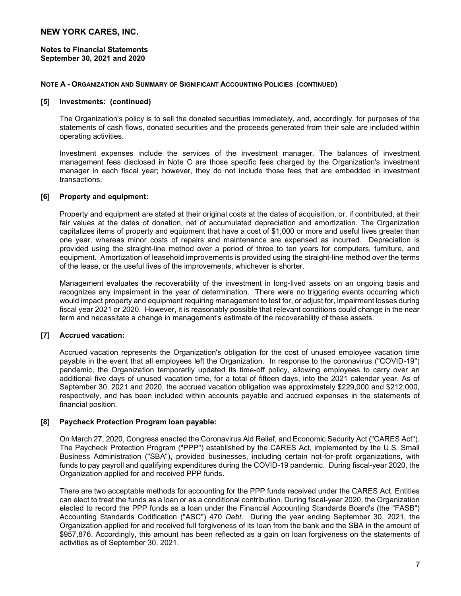Notes to Financial Statements September 30, 2021 and 2020

## NOTE A - ORGANIZATION AND SUMMARY OF SIGNIFICANT ACCOUNTING POLICIES (CONTINUED)

## [5] Investments: (continued)

The Organization's policy is to sell the donated securities immediately, and, accordingly, for purposes of the statements of cash flows, donated securities and the proceeds generated from their sale are included within operating activities.

Investment expenses include the services of the investment manager. The balances of investment management fees disclosed in Note C are those specific fees charged by the Organization's investment manager in each fiscal year; however, they do not include those fees that are embedded in investment transactions.

## [6] Property and equipment:

Property and equipment are stated at their original costs at the dates of acquisition, or, if contributed, at their fair values at the dates of donation, net of accumulated depreciation and amortization. The Organization capitalizes items of property and equipment that have a cost of \$1,000 or more and useful lives greater than one year, whereas minor costs of repairs and maintenance are expensed as incurred. Depreciation is provided using the straight-line method over a period of three to ten years for computers, furniture, and equipment. Amortization of leasehold improvements is provided using the straight-line method over the terms of the lease, or the useful lives of the improvements, whichever is shorter.

Management evaluates the recoverability of the investment in long-lived assets on an ongoing basis and recognizes any impairment in the year of determination. There were no triggering events occurring which would impact property and equipment requiring management to test for, or adjust for, impairment losses during fiscal year 2021 or 2020. However, it is reasonably possible that relevant conditions could change in the near term and necessitate a change in management's estimate of the recoverability of these assets.

## [7] Accrued vacation:

Accrued vacation represents the Organization's obligation for the cost of unused employee vacation time payable in the event that all employees left the Organization. In response to the coronavirus ("COVID-19") pandemic, the Organization temporarily updated its time-off policy, allowing employees to carry over an additional five days of unused vacation time, for a total of fifteen days, into the 2021 calendar year. As of September 30, 2021 and 2020, the accrued vacation obligation was approximately \$229,000 and \$212,000, respectively, and has been included within accounts payable and accrued expenses in the statements of financial position.

## [8] Paycheck Protection Program loan payable:

On March 27, 2020, Congress enacted the Coronavirus Aid Relief, and Economic Security Act ("CARES Act"). The Paycheck Protection Program ("PPP") established by the CARES Act, implemented by the U.S. Small Business Administration ("SBA"), provided businesses, including certain not-for-profit organizations, with funds to pay payroll and qualifying expenditures during the COVID-19 pandemic. During fiscal-year 2020, the Organization applied for and received PPP funds.

There are two acceptable methods for accounting for the PPP funds received under the CARES Act. Entities can elect to treat the funds as a loan or as a conditional contribution. During fiscal-year 2020, the Organization elected to record the PPP funds as a loan under the Financial Accounting Standards Board's (the "FASB") Accounting Standards Codification ("ASC") 470 Debt. During the year ending September 30, 2021, the Organization applied for and received full forgiveness of its loan from the bank and the SBA in the amount of \$957,876. Accordingly, this amount has been reflected as a gain on loan forgiveness on the statements of activities as of September 30, 2021.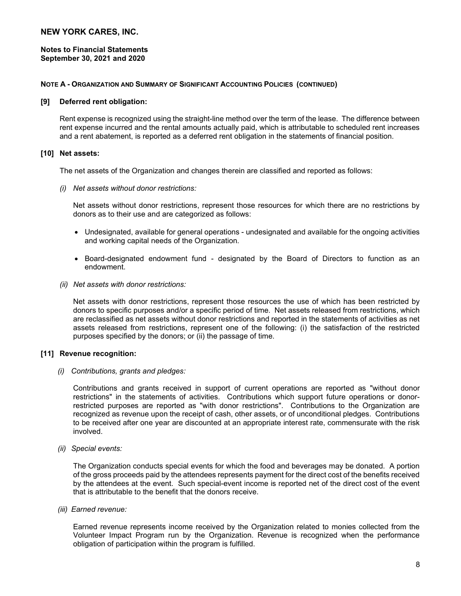Notes to Financial Statements September 30, 2021 and 2020

## NOTE A - ORGANIZATION AND SUMMARY OF SIGNIFICANT ACCOUNTING POLICIES (CONTINUED)

## [9] Deferred rent obligation:

Rent expense is recognized using the straight-line method over the term of the lease. The difference between rent expense incurred and the rental amounts actually paid, which is attributable to scheduled rent increases and a rent abatement, is reported as a deferred rent obligation in the statements of financial position.

## [10] Net assets:

The net assets of the Organization and changes therein are classified and reported as follows:

(i) Net assets without donor restrictions:

Net assets without donor restrictions, represent those resources for which there are no restrictions by donors as to their use and are categorized as follows:

- Undesignated, available for general operations undesignated and available for the ongoing activities and working capital needs of the Organization.
- Board-designated endowment fund designated by the Board of Directors to function as an endowment.
- (ii) Net assets with donor restrictions:

Net assets with donor restrictions, represent those resources the use of which has been restricted by donors to specific purposes and/or a specific period of time. Net assets released from restrictions, which are reclassified as net assets without donor restrictions and reported in the statements of activities as net assets released from restrictions, represent one of the following: (i) the satisfaction of the restricted purposes specified by the donors; or (ii) the passage of time.

## [11] Revenue recognition:

(i) Contributions, grants and pledges:

Contributions and grants received in support of current operations are reported as "without donor restrictions" in the statements of activities. Contributions which support future operations or donorrestricted purposes are reported as "with donor restrictions". Contributions to the Organization are recognized as revenue upon the receipt of cash, other assets, or of unconditional pledges. Contributions to be received after one year are discounted at an appropriate interest rate, commensurate with the risk involved.

(ii) Special events:

The Organization conducts special events for which the food and beverages may be donated. A portion of the gross proceeds paid by the attendees represents payment for the direct cost of the benefits received by the attendees at the event. Such special-event income is reported net of the direct cost of the event that is attributable to the benefit that the donors receive.

(iii) Earned revenue:

Earned revenue represents income received by the Organization related to monies collected from the Volunteer Impact Program run by the Organization. Revenue is recognized when the performance obligation of participation within the program is fulfilled.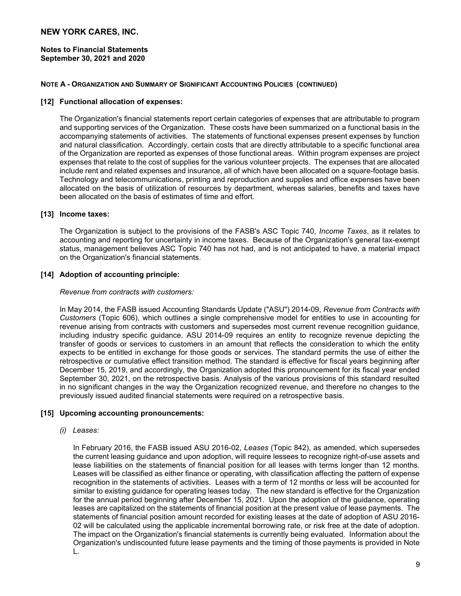## Notes to Financial Statements September 30, 2021 and 2020

## NOTE A - ORGANIZATION AND SUMMARY OF SIGNIFICANT ACCOUNTING POLICIES (CONTINUED)

## [12] Functional allocation of expenses:

The Organization's financial statements report certain categories of expenses that are attributable to program and supporting services of the Organization. These costs have been summarized on a functional basis in the accompanying statements of activities. The statements of functional expenses present expenses by function and natural classification. Accordingly, certain costs that are directly attributable to a specific functional area of the Organization are reported as expenses of those functional areas. Within program expenses are project expenses that relate to the cost of supplies for the various volunteer projects. The expenses that are allocated include rent and related expenses and insurance, all of which have been allocated on a square-footage basis. Technology and telecommunications, printing and reproduction and supplies and office expenses have been allocated on the basis of utilization of resources by department, whereas salaries, benefits and taxes have been allocated on the basis of estimates of time and effort.

## [13] Income taxes:

The Organization is subject to the provisions of the FASB's ASC Topic 740, Income Taxes, as it relates to accounting and reporting for uncertainty in income taxes. Because of the Organization's general tax-exempt status, management believes ASC Topic 740 has not had, and is not anticipated to have, a material impact on the Organization's financial statements.

## [14] Adoption of accounting principle:

#### Revenue from contracts with customers:

In May 2014, the FASB issued Accounting Standards Update ("ASU") 2014-09, Revenue from Contracts with Customers (Topic 606), which outlines a single comprehensive model for entities to use in accounting for revenue arising from contracts with customers and supersedes most current revenue recognition guidance, including industry specific guidance. ASU 2014-09 requires an entity to recognize revenue depicting the transfer of goods or services to customers in an amount that reflects the consideration to which the entity expects to be entitled in exchange for those goods or services. The standard permits the use of either the retrospective or cumulative effect transition method. The standard is effective for fiscal years beginning after December 15, 2019, and accordingly, the Organization adopted this pronouncement for its fiscal year ended September 30, 2021, on the retrospective basis. Analysis of the various provisions of this standard resulted in no significant changes in the way the Organization recognized revenue, and therefore no changes to the previously issued audited financial statements were required on a retrospective basis.

## [15] Upcoming accounting pronouncements:

#### (i) Leases:

In February 2016, the FASB issued ASU 2016-02, Leases (Topic 842), as amended, which supersedes the current leasing guidance and upon adoption, will require lessees to recognize right-of-use assets and lease liabilities on the statements of financial position for all leases with terms longer than 12 months. Leases will be classified as either finance or operating, with classification affecting the pattern of expense recognition in the statements of activities. Leases with a term of 12 months or less will be accounted for similar to existing guidance for operating leases today. The new standard is effective for the Organization for the annual period beginning after December 15, 2021. Upon the adoption of the guidance, operating leases are capitalized on the statements of financial position at the present value of lease payments. The statements of financial position amount recorded for existing leases at the date of adoption of ASU 2016- 02 will be calculated using the applicable incremental borrowing rate, or risk free at the date of adoption. The impact on the Organization's financial statements is currently being evaluated. Information about the Organization's undiscounted future lease payments and the timing of those payments is provided in Note L.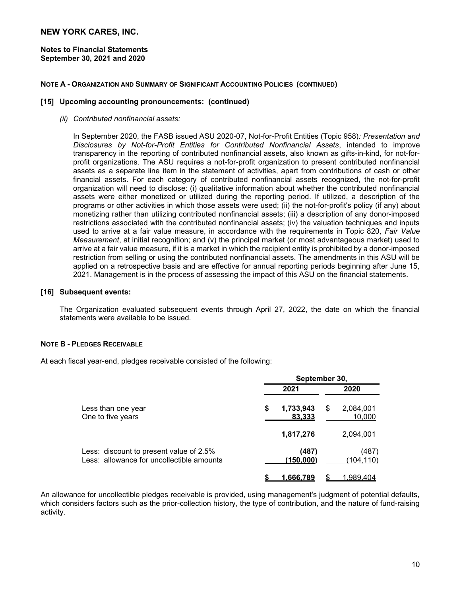Notes to Financial Statements September 30, 2021 and 2020

## NOTE A - ORGANIZATION AND SUMMARY OF SIGNIFICANT ACCOUNTING POLICIES (CONTINUED)

## [15] Upcoming accounting pronouncements: (continued)

(ii) Contributed nonfinancial assets:

In September 2020, the FASB issued ASU 2020-07, Not-for-Profit Entities (Topic 958): Presentation and Disclosures by Not-for-Profit Entities for Contributed Nonfinancial Assets, intended to improve transparency in the reporting of contributed nonfinancial assets, also known as gifts-in-kind, for not-forprofit organizations. The ASU requires a not-for-profit organization to present contributed nonfinancial assets as a separate line item in the statement of activities, apart from contributions of cash or other financial assets. For each category of contributed nonfinancial assets recognized, the not-for-profit organization will need to disclose: (i) qualitative information about whether the contributed nonfinancial assets were either monetized or utilized during the reporting period. If utilized, a description of the programs or other activities in which those assets were used; (ii) the not-for-profit's policy (if any) about monetizing rather than utilizing contributed nonfinancial assets; (iii) a description of any donor-imposed restrictions associated with the contributed nonfinancial assets; (iv) the valuation techniques and inputs used to arrive at a fair value measure, in accordance with the requirements in Topic 820, Fair Value Measurement, at initial recognition; and (v) the principal market (or most advantageous market) used to arrive at a fair value measure, if it is a market in which the recipient entity is prohibited by a donor-imposed restriction from selling or using the contributed nonfinancial assets. The amendments in this ASU will be applied on a retrospective basis and are effective for annual reporting periods beginning after June 15, 2021. Management is in the process of assessing the impact of this ASU on the financial statements.

## [16] Subsequent events:

The Organization evaluated subsequent events through April 27, 2022, the date on which the financial statements were available to be issued.

#### NOTE B - PLEDGES RECEIVABLE

At each fiscal year-end, pledges receivable consisted of the following:

|                                                                                      | September 30, |                            |   |                     |
|--------------------------------------------------------------------------------------|---------------|----------------------------|---|---------------------|
|                                                                                      |               | 2021                       |   | 2020                |
| Less than one year<br>One to five years                                              | \$            | 1,733,943<br><u>83.333</u> | S | 2,084,001<br>10,000 |
|                                                                                      |               | 1,817,276                  |   | 2,094,001           |
| Less: discount to present value of 2.5%<br>Less: allowance for uncollectible amounts |               | (487)<br>(150.000)         |   | (487)<br>104, 110   |
|                                                                                      |               | <u>1.666.789</u>           |   | 1.989.404           |

An allowance for uncollectible pledges receivable is provided, using management's judgment of potential defaults, which considers factors such as the prior-collection history, the type of contribution, and the nature of fund-raising activity.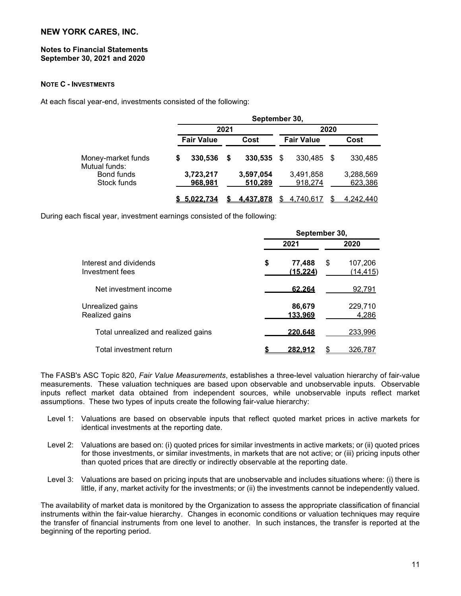## Notes to Financial Statements September 30, 2021 and 2020

## NOTE C - INVESTMENTS

At each fiscal year-end, investments consisted of the following:

|                                     | September 30, |                      |   |                      |     |                      |      |                      |
|-------------------------------------|---------------|----------------------|---|----------------------|-----|----------------------|------|----------------------|
|                                     |               | 2021                 |   |                      |     |                      | 2020 |                      |
|                                     |               | <b>Fair Value</b>    |   | Cost                 |     | <b>Fair Value</b>    |      | Cost                 |
| Money-market funds<br>Mutual funds: | S             | 330,536              | S | 330,535              | -\$ | 330,485              | - \$ | 330,485              |
| Bond funds<br>Stock funds           |               | 3,723,217<br>968,981 |   | 3,597,054<br>510,289 |     | 3,491,858<br>918,274 |      | 3,288,569<br>623,386 |
|                                     |               | \$ 5.022.734         |   | 4.437.878            | \$. | 4.740.617            |      | 4.242.440            |

During each fiscal year, investment earnings consisted of the following:

|                                           | September 30, |                    |    |                      |  |
|-------------------------------------------|---------------|--------------------|----|----------------------|--|
|                                           |               | 2021               |    | 2020                 |  |
| Interest and dividends<br>Investment fees | \$            | 77,488<br>(15.224) | \$ | 107,206<br>(14, 415) |  |
| Net investment income                     |               | 62.264             |    | 92.791               |  |
| Unrealized gains<br>Realized gains        |               | 86,679<br>133.969  |    | 229,710<br>4,286     |  |
| Total unrealized and realized gains       |               | 220.648            |    | 233,996              |  |
| Total investment return                   |               | 282,912            |    | 326,787              |  |

The FASB's ASC Topic 820, Fair Value Measurements, establishes a three-level valuation hierarchy of fair-value measurements. These valuation techniques are based upon observable and unobservable inputs. Observable inputs reflect market data obtained from independent sources, while unobservable inputs reflect market assumptions. These two types of inputs create the following fair-value hierarchy:

- Level 1: Valuations are based on observable inputs that reflect quoted market prices in active markets for identical investments at the reporting date.
- Level 2: Valuations are based on: (i) quoted prices for similar investments in active markets; or (ii) quoted prices for those investments, or similar investments, in markets that are not active; or (iii) pricing inputs other than quoted prices that are directly or indirectly observable at the reporting date.
- Level 3: Valuations are based on pricing inputs that are unobservable and includes situations where: (i) there is little, if any, market activity for the investments; or (ii) the investments cannot be independently valued.

The availability of market data is monitored by the Organization to assess the appropriate classification of financial instruments within the fair-value hierarchy. Changes in economic conditions or valuation techniques may require the transfer of financial instruments from one level to another. In such instances, the transfer is reported at the beginning of the reporting period.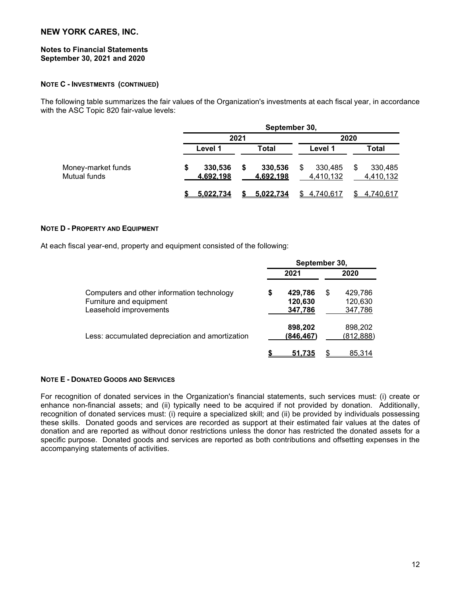## Notes to Financial Statements September 30, 2021 and 2020

## NOTE C - INVESTMENTS (CONTINUED)

The following table summarizes the fair values of the Organization's investments at each fiscal year, in accordance with the ASC Topic 820 fair-value levels:

|                                    | September 30,               |                            |                            |                           |  |  |  |  |  |
|------------------------------------|-----------------------------|----------------------------|----------------------------|---------------------------|--|--|--|--|--|
|                                    |                             | 2021                       |                            | 2020                      |  |  |  |  |  |
|                                    | Level 1                     | Total                      | Level 1                    | Total                     |  |  |  |  |  |
| Money-market funds<br>Mutual funds | 330,536<br><u>4.692.198</u> | 330,536<br>\$<br>4.692.198 | 330,485<br>\$<br>4,410,132 | 330,485<br>S<br>4,410,132 |  |  |  |  |  |
|                                    | 5,022,734                   | 5.022.734                  | \$4,740,617                | 4,740,617                 |  |  |  |  |  |

## NOTE D - PROPERTY AND EQUIPMENT

At each fiscal year-end, property and equipment consisted of the following:

| September 30,                       |        |                                 |  |
|-------------------------------------|--------|---------------------------------|--|
| 2021                                |        | 2020                            |  |
| \$<br>429,786<br>120,630<br>347,786 | \$     | 429,786<br>120,630<br>347,786   |  |
| 898,202<br>(846, 467)               |        | 898,202<br>(812, 888)<br>85.314 |  |
|                                     | 51,735 | \$                              |  |

## NOTE E - DONATED GOODS AND SERVICES

For recognition of donated services in the Organization's financial statements, such services must: (i) create or enhance non-financial assets; and (ii) typically need to be acquired if not provided by donation. Additionally, recognition of donated services must: (i) require a specialized skill; and (ii) be provided by individuals possessing these skills. Donated goods and services are recorded as support at their estimated fair values at the dates of donation and are reported as without donor restrictions unless the donor has restricted the donated assets for a specific purpose. Donated goods and services are reported as both contributions and offsetting expenses in the accompanying statements of activities.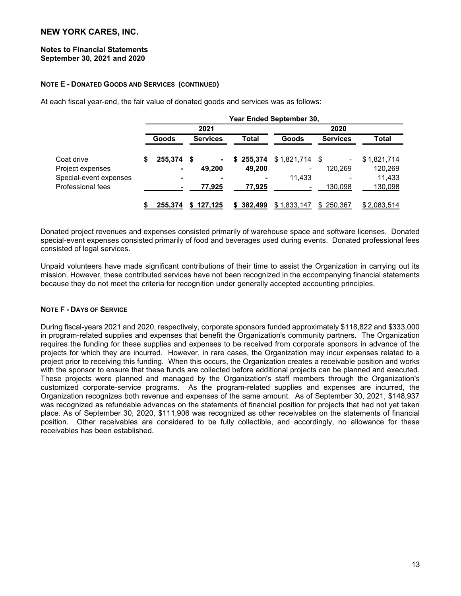## Notes to Financial Statements September 30, 2021 and 2020

## NOTE E - DONATED GOODS AND SERVICES (CONTINUED)

At each fiscal year-end, the fair value of donated goods and services was as follows:

|                        | Year Ended September 30. |                     |           |                 |                 |              |  |
|------------------------|--------------------------|---------------------|-----------|-----------------|-----------------|--------------|--|
|                        |                          | 2021                |           |                 | 2020            |              |  |
|                        | Goods                    | <b>Services</b>     | Total     | Goods           | <b>Services</b> | <b>Total</b> |  |
| Coat drive             | \$<br>255,374            | S<br>$\blacksquare$ | \$255,374 | $$1,821,714$ \$ | -               | \$1,821,714  |  |
| Project expenses       | ۰                        | 49,200              | 49.200    | ۰               | 120.269         | 120,269      |  |
| Special-event expenses | ۰                        | ۰                   | ۰         | 11.433          | ۰               | 11,433       |  |
| Professional fees      |                          | 77,925              | 77,925    |                 | 130.098         | 130,098      |  |
|                        | 255,374                  | \$127,125           | \$382,499 | \$1,833,147     | \$250,367       | \$2,083,514  |  |

Donated project revenues and expenses consisted primarily of warehouse space and software licenses. Donated special-event expenses consisted primarily of food and beverages used during events. Donated professional fees consisted of legal services.

Unpaid volunteers have made significant contributions of their time to assist the Organization in carrying out its mission. However, these contributed services have not been recognized in the accompanying financial statements because they do not meet the criteria for recognition under generally accepted accounting principles.

## NOTE F - DAYS OF SERVICE

During fiscal-years 2021 and 2020, respectively, corporate sponsors funded approximately \$118,822 and \$333,000 in program-related supplies and expenses that benefit the Organization's community partners. The Organization requires the funding for these supplies and expenses to be received from corporate sponsors in advance of the projects for which they are incurred. However, in rare cases, the Organization may incur expenses related to a project prior to receiving this funding. When this occurs, the Organization creates a receivable position and works with the sponsor to ensure that these funds are collected before additional projects can be planned and executed. These projects were planned and managed by the Organization's staff members through the Organization's customized corporate-service programs. As the program-related supplies and expenses are incurred, the Organization recognizes both revenue and expenses of the same amount. As of September 30, 2021, \$148,937 was recognized as refundable advances on the statements of financial position for projects that had not yet taken place. As of September 30, 2020, \$111,906 was recognized as other receivables on the statements of financial position. Other receivables are considered to be fully collectible, and accordingly, no allowance for these receivables has been established.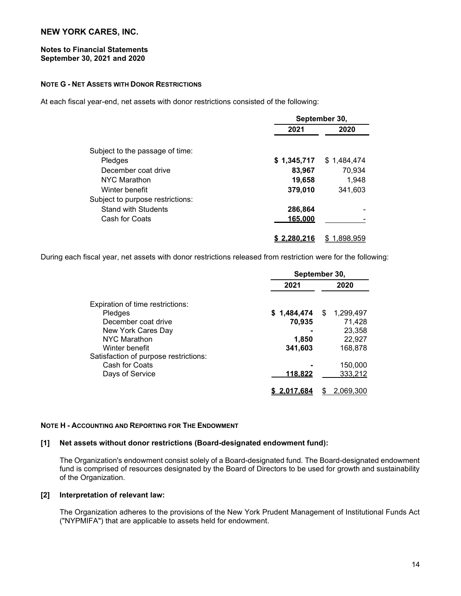#### Notes to Financial Statements September 30, 2021 and 2020

## NOTE G - NET ASSETS WITH DONOR RESTRICTIONS

At each fiscal year-end, net assets with donor restrictions consisted of the following:

|                                  | September 30, |             |  |
|----------------------------------|---------------|-------------|--|
|                                  | 2021          | 2020        |  |
| Subject to the passage of time:  |               |             |  |
| Pledges                          | \$1,345,717   | \$1,484,474 |  |
| December coat drive              | 83,967        | 70,934      |  |
| NYC Marathon                     | 19,658        | 1,948       |  |
| Winter benefit                   | 379,010       | 341,603     |  |
| Subject to purpose restrictions: |               |             |  |
| <b>Stand with Students</b>       | 286,864       |             |  |
| Cash for Coats                   | 165.000       |             |  |
|                                  | \$2,280,216   | \$1.898.959 |  |

During each fiscal year, net assets with donor restrictions released from restriction were for the following:

|                                       | September 30,   |      |           |
|---------------------------------------|-----------------|------|-----------|
|                                       | 2021            | 2020 |           |
| Expiration of time restrictions:      |                 |      |           |
| Pledges                               | \$1,484,474     | S    | 1,299,497 |
| December coat drive                   | 70.935          |      | 71.428    |
| New York Cares Day                    |                 |      | 23,358    |
| NYC Marathon                          | 1,850           |      | 22.927    |
| Winter benefit                        | 341,603         |      | 168.878   |
| Satisfaction of purpose restrictions: |                 |      |           |
| Cash for Coats                        |                 |      | 150,000   |
| Days of Service                       | <u> 118.822</u> |      | 333,212   |
|                                       | 2.017.684       |      | 2.069.300 |

#### NOTE H - ACCOUNTING AND REPORTING FOR THE ENDOWMENT

## [1] Net assets without donor restrictions (Board-designated endowment fund):

The Organization's endowment consist solely of a Board-designated fund. The Board-designated endowment fund is comprised of resources designated by the Board of Directors to be used for growth and sustainability of the Organization.

## [2] Interpretation of relevant law:

The Organization adheres to the provisions of the New York Prudent Management of Institutional Funds Act ("NYPMIFA") that are applicable to assets held for endowment.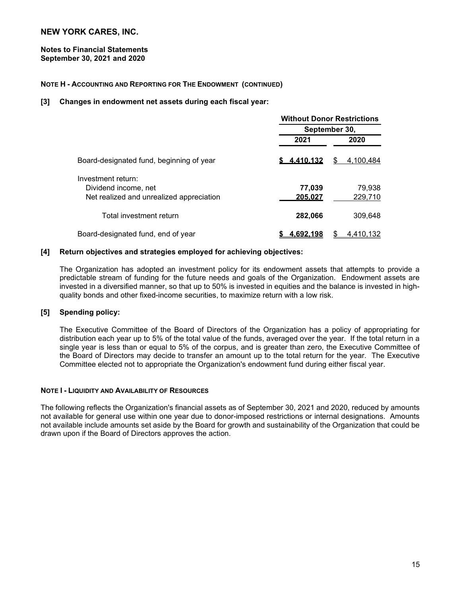Notes to Financial Statements September 30, 2021 and 2020

## NOTE H - ACCOUNTING AND REPORTING FOR THE ENDOWMENT (CONTINUED)

## [3] Changes in endowment net assets during each fiscal year:

|                                                                                        | <b>Without Donor Restrictions</b> |                   |  |  |
|----------------------------------------------------------------------------------------|-----------------------------------|-------------------|--|--|
|                                                                                        | September 30,                     |                   |  |  |
|                                                                                        | 2021                              | 2020              |  |  |
| Board-designated fund, beginning of year                                               | \$4.410.132                       | 4.100.484         |  |  |
| Investment return:<br>Dividend income, net<br>Net realized and unrealized appreciation | 77,039<br>205.027                 | 79,938<br>229,710 |  |  |
| Total investment return                                                                | 282,066                           | 309,648           |  |  |
| Board-designated fund, end of year                                                     | 4.692.198                         | 4.410.132         |  |  |

## [4] Return objectives and strategies employed for achieving objectives:

The Organization has adopted an investment policy for its endowment assets that attempts to provide a predictable stream of funding for the future needs and goals of the Organization. Endowment assets are invested in a diversified manner, so that up to 50% is invested in equities and the balance is invested in highquality bonds and other fixed-income securities, to maximize return with a low risk.

## [5] Spending policy:

The Executive Committee of the Board of Directors of the Organization has a policy of appropriating for distribution each year up to 5% of the total value of the funds, averaged over the year. If the total return in a single year is less than or equal to 5% of the corpus, and is greater than zero, the Executive Committee of the Board of Directors may decide to transfer an amount up to the total return for the year. The Executive Committee elected not to appropriate the Organization's endowment fund during either fiscal year.

#### NOTE I - LIQUIDITY AND AVAILABILITY OF RESOURCES

The following reflects the Organization's financial assets as of September 30, 2021 and 2020, reduced by amounts not available for general use within one year due to donor-imposed restrictions or internal designations. Amounts not available include amounts set aside by the Board for growth and sustainability of the Organization that could be drawn upon if the Board of Directors approves the action.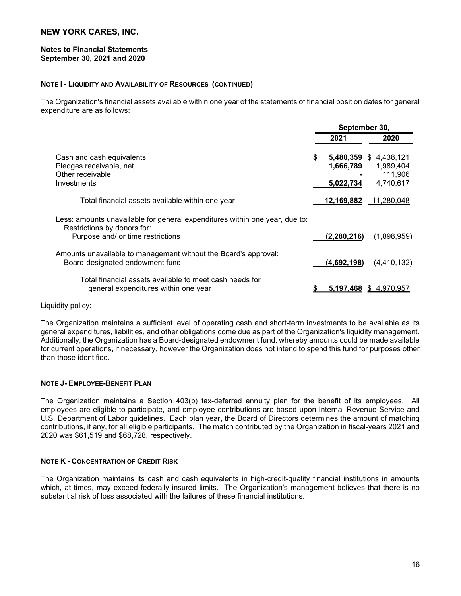## Notes to Financial Statements September 30, 2021 and 2020

## NOTE I - LIQUIDITY AND AVAILABILITY OF RESOURCES (CONTINUED)

The Organization's financial assets available within one year of the statements of financial position dates for general expenditure are as follows:

|                                                                                                                                                 | September 30, |             |                                               |
|-------------------------------------------------------------------------------------------------------------------------------------------------|---------------|-------------|-----------------------------------------------|
|                                                                                                                                                 |               | 2021        | 2020                                          |
| Cash and cash equivalents<br>Pledges receivable, net<br>Other receivable                                                                        | \$            | 1,666,789   | 5,480,359 \$4,438,121<br>1,989,404<br>111,906 |
| Investments                                                                                                                                     |               | 5.022.734   | 4,740,617                                     |
| Total financial assets available within one year                                                                                                |               | 12,169,882  | 11.280.048                                    |
| Less: amounts unavailable for general expenditures within one year, due to:<br>Restrictions by donors for:<br>Purpose and/ or time restrictions |               | (2,280,216) | (1,898,959)                                   |
| Amounts unavailable to management without the Board's approval:<br>Board-designated endowment fund                                              |               | (4,692,198) | (4,410,132)                                   |
| Total financial assets available to meet cash needs for<br>general expenditures within one year                                                 |               | 5.197.468   | \$4,970,957                                   |

Liquidity policy:

The Organization maintains a sufficient level of operating cash and short-term investments to be available as its general expenditures, liabilities, and other obligations come due as part of the Organization's liquidity management. Additionally, the Organization has a Board-designated endowment fund, whereby amounts could be made available for current operations, if necessary, however the Organization does not intend to spend this fund for purposes other than those identified.

## NOTE J- EMPLOYEE-BENEFIT PLAN

The Organization maintains a Section 403(b) tax-deferred annuity plan for the benefit of its employees. All employees are eligible to participate, and employee contributions are based upon Internal Revenue Service and U.S. Department of Labor guidelines. Each plan year, the Board of Directors determines the amount of matching contributions, if any, for all eligible participants. The match contributed by the Organization in fiscal-years 2021 and 2020 was \$61,519 and \$68,728, respectively.

## NOTE K - CONCENTRATION OF CREDIT RISK

The Organization maintains its cash and cash equivalents in high-credit-quality financial institutions in amounts which, at times, may exceed federally insured limits. The Organization's management believes that there is no substantial risk of loss associated with the failures of these financial institutions.